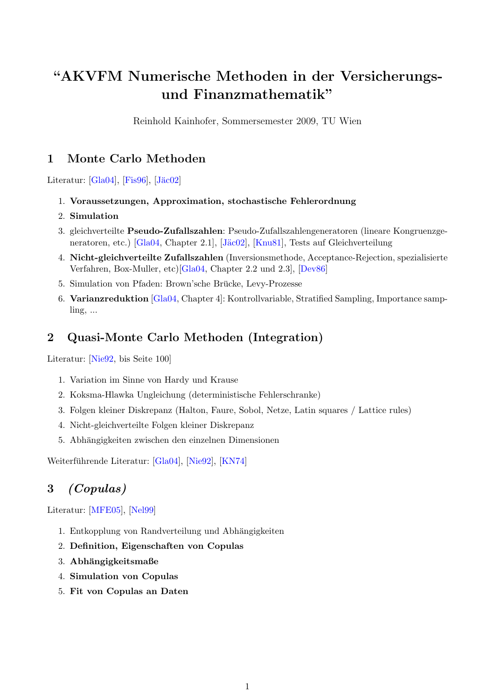# "AKVFM Numerische Methoden in der Versicherungsund Finanzmathematik"

Reinhold Kainhofer, Sommersemester 2009, TU Wien

### 1 Monte Carlo Methoden

Literatur:  $[Gla04]$ ,  $[Fis96]$ ,  $[J\ddot{a}c02]$ 

- 1. Voraussetzungen, Approximation, stochastische Fehlerordnung
- 2. Simulation
- 3. gleichverteilte Pseudo-Zufallszahlen: Pseudo-Zufallszahlengeneratoren (lineare Kongruenzge-neratoren, etc.) [\[Gla04,](#page-1-0) Chapter 2.1], [Jäc02], [\[Knu81\]](#page-1-3), Tests auf Gleichverteilung
- 4. Nicht-gleichverteilte Zufallszahlen (Inversionsmethode, Acceptance-Rejection, spezialisierte Verfahren, Box-Muller, etc)[\[Gla04,](#page-1-0) Chapter 2.2 und 2.3], [\[Dev86\]](#page-1-4)
- 5. Simulation von Pfaden: Brown'sche Brücke, Levy-Prozesse
- 6. Varianzreduktion [\[Gla04,](#page-1-0) Chapter 4]: Kontrollvariable, Stratified Sampling, Importance sampling, ...

## 2 Quasi-Monte Carlo Methoden (Integration)

Literatur: [\[Nie92,](#page-1-5) bis Seite 100]

- 1. Variation im Sinne von Hardy und Krause
- 2. Koksma-Hlawka Ungleichung (deterministische Fehlerschranke)
- 3. Folgen kleiner Diskrepanz (Halton, Faure, Sobol, Netze, Latin squares / Lattice rules)
- 4. Nicht-gleichverteilte Folgen kleiner Diskrepanz
- 5. Abhängigkeiten zwischen den einzelnen Dimensionen

Weiterführende Literatur: [[Gla04\]](#page-1-0), [\[Nie92\]](#page-1-5), [\[KN74\]](#page-1-6)

# 3 (Copulas)

Literatur: [\[MFE05\]](#page-1-7), [\[Nel99\]](#page-1-8)

- 1. Entkopplung von Randverteilung und Abhängigkeiten
- 2. Definition, Eigenschaften von Copulas
- 3. Abhängigkeitsmaße
- 4. Simulation von Copulas
- 5. Fit von Copulas an Daten